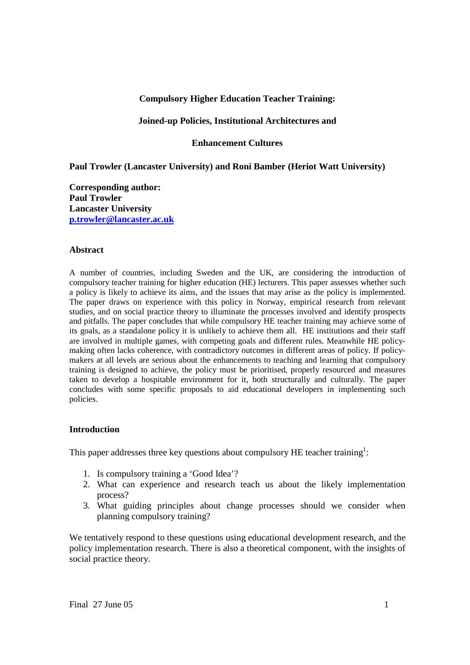# **Compulsory Higher Education Teacher Training:**

## **Joined-up Policies, Institutional Architectures and**

## **Enhancement Cultures**

**Paul Trowler (Lancaster University) and Roni Bamber (Heriot Watt University)** 

**Corresponding author: Paul Trowler Lancaster University p.trowler@lancaster.ac.uk**

#### **Abstract**

A number of countries, including Sweden and the UK, are considering the introduction of compulsory teacher training for higher education (HE) lecturers. This paper assesses whether such a policy is likely to achieve its aims, and the issues that may arise as the policy is implemented. The paper draws on experience with this policy in Norway, empirical research from relevant studies, and on social practice theory to illuminate the processes involved and identify prospects and pitfalls. The paper concludes that while compulsory HE teacher training may achieve some of its goals, as a standalone policy it is unlikely to achieve them all. HE institutions and their staff are involved in multiple games, with competing goals and different rules. Meanwhile HE policymaking often lacks coherence, with contradictory outcomes in different areas of policy. If policymakers at all levels are serious about the enhancements to teaching and learning that compulsory training is designed to achieve, the policy must be prioritised, properly resourced and measures taken to develop a hospitable environment for it, both structurally and culturally. The paper concludes with some specific proposals to aid educational developers in implementing such policies.

# **Introduction**

This paper addresses three key questions about compulsory HE teacher training<sup>1</sup>:

- 1. Is compulsory training a 'Good Idea'?
- 2. What can experience and research teach us about the likely implementation process?
- 3. What guiding principles about change processes should we consider when planning compulsory training?

We tentatively respond to these questions using educational development research, and the policy implementation research. There is also a theoretical component, with the insights of social practice theory.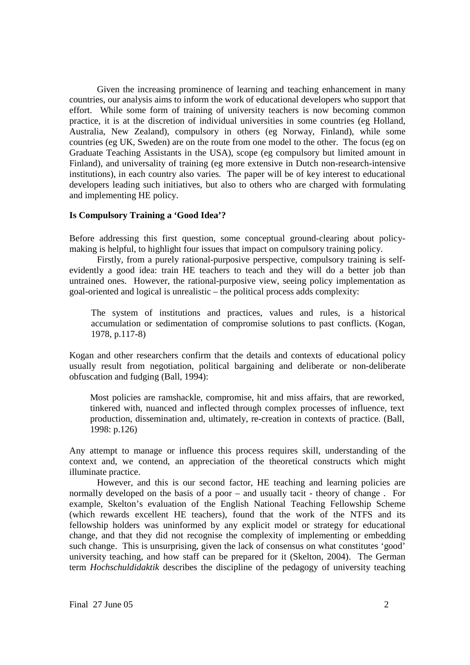Given the increasing prominence of learning and teaching enhancement in many countries, our analysis aims to inform the work of educational developers who support that effort. While some form of training of university teachers is now becoming common practice, it is at the discretion of individual universities in some countries (eg Holland, Australia, New Zealand), compulsory in others (eg Norway, Finland), while some countries (eg UK, Sweden) are on the route from one model to the other. The focus (eg on Graduate Teaching Assistants in the USA), scope (eg compulsory but limited amount in Finland), and universality of training (eg more extensive in Dutch non-research-intensive institutions), in each country also varies. The paper will be of key interest to educational developers leading such initiatives, but also to others who are charged with formulating and implementing HE policy.

## **Is Compulsory Training a 'Good Idea'?**

Before addressing this first question, some conceptual ground-clearing about policymaking is helpful, to highlight four issues that impact on compulsory training policy.

 Firstly, from a purely rational-purposive perspective, compulsory training is selfevidently a good idea: train HE teachers to teach and they will do a better job than untrained ones. However, the rational-purposive view, seeing policy implementation as goal-oriented and logical is unrealistic – the political process adds complexity:

The system of institutions and practices, values and rules, is a historical accumulation or sedimentation of compromise solutions to past conflicts. (Kogan, 1978, p.117-8)

Kogan and other researchers confirm that the details and contexts of educational policy usually result from negotiation, political bargaining and deliberate or non-deliberate obfuscation and fudging (Ball, 1994):

Most policies are ramshackle, compromise, hit and miss affairs, that are reworked, tinkered with, nuanced and inflected through complex processes of influence, text production, dissemination and, ultimately, re-creation in contexts of practice. (Ball, 1998: p.126)

Any attempt to manage or influence this process requires skill, understanding of the context and, we contend, an appreciation of the theoretical constructs which might illuminate practice.

 However, and this is our second factor, HE teaching and learning policies are normally developed on the basis of a poor – and usually tacit - theory of change . For example, Skelton's evaluation of the English National Teaching Fellowship Scheme (which rewards excellent HE teachers), found that the work of the NTFS and its fellowship holders was uninformed by any explicit model or strategy for educational change, and that they did not recognise the complexity of implementing or embedding such change. This is unsurprising, given the lack of consensus on what constitutes 'good' university teaching, and how staff can be prepared for it (Skelton, 2004). The German term *Hochschuldidaktik* describes the discipline of the pedagogy of university teaching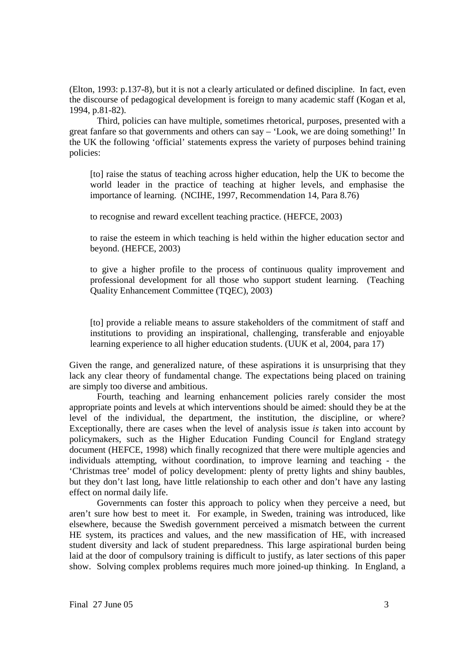(Elton, 1993: p.137-8), but it is not a clearly articulated or defined discipline. In fact, even the discourse of pedagogical development is foreign to many academic staff (Kogan et al, 1994, p.81-82).

 Third, policies can have multiple, sometimes rhetorical, purposes, presented with a great fanfare so that governments and others can say – 'Look, we are doing something!' In the UK the following 'official' statements express the variety of purposes behind training policies:

[to] raise the status of teaching across higher education, help the UK to become the world leader in the practice of teaching at higher levels, and emphasise the importance of learning. (NCIHE, 1997, Recommendation 14, Para 8.76)

to recognise and reward excellent teaching practice. (HEFCE, 2003)

to raise the esteem in which teaching is held within the higher education sector and beyond. (HEFCE, 2003)

to give a higher profile to the process of continuous quality improvement and professional development for all those who support student learning. (Teaching Quality Enhancement Committee (TQEC), 2003)

[to] provide a reliable means to assure stakeholders of the commitment of staff and institutions to providing an inspirational, challenging, transferable and enjoyable learning experience to all higher education students. (UUK et al, 2004, para 17)

Given the range, and generalized nature, of these aspirations it is unsurprising that they lack any clear theory of fundamental change. The expectations being placed on training are simply too diverse and ambitious.

 Fourth, teaching and learning enhancement policies rarely consider the most appropriate points and levels at which interventions should be aimed: should they be at the level of the individual, the department, the institution, the discipline, or where? Exceptionally, there are cases when the level of analysis issue *is* taken into account by policymakers, such as the Higher Education Funding Council for England strategy document (HEFCE, 1998) which finally recognized that there were multiple agencies and individuals attempting, without coordination, to improve learning and teaching - the 'Christmas tree' model of policy development: plenty of pretty lights and shiny baubles, but they don't last long, have little relationship to each other and don't have any lasting effect on normal daily life.

 Governments can foster this approach to policy when they perceive a need, but aren't sure how best to meet it. For example, in Sweden, training was introduced, like elsewhere, because the Swedish government perceived a mismatch between the current HE system, its practices and values, and the new massification of HE, with increased student diversity and lack of student preparedness. This large aspirational burden being laid at the door of compulsory training is difficult to justify, as later sections of this paper show. Solving complex problems requires much more joined-up thinking. In England, a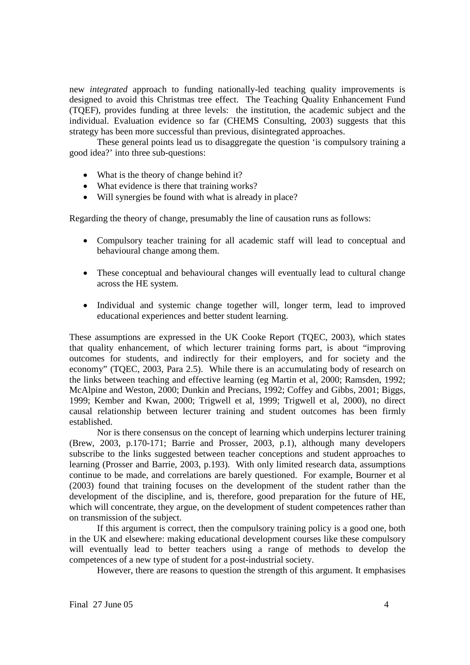new *integrated* approach to funding nationally-led teaching quality improvements is designed to avoid this Christmas tree effect. The Teaching Quality Enhancement Fund (TQEF), provides funding at three levels: the institution, the academic subject and the individual. Evaluation evidence so far (CHEMS Consulting, 2003) suggests that this strategy has been more successful than previous, disintegrated approaches.

 These general points lead us to disaggregate the question 'is compulsory training a good idea?' into three sub-questions:

- What is the theory of change behind it?
- What evidence is there that training works?
- Will synergies be found with what is already in place?

Regarding the theory of change, presumably the line of causation runs as follows:

- Compulsory teacher training for all academic staff will lead to conceptual and behavioural change among them.
- These conceptual and behavioural changes will eventually lead to cultural change across the HE system.
- Individual and systemic change together will, longer term, lead to improved educational experiences and better student learning.

These assumptions are expressed in the UK Cooke Report (TQEC, 2003), which states that quality enhancement, of which lecturer training forms part, is about "improving outcomes for students, and indirectly for their employers, and for society and the economy" (TQEC, 2003, Para 2.5). While there is an accumulating body of research on the links between teaching and effective learning (eg Martin et al, 2000; Ramsden, 1992; McAlpine and Weston, 2000; Dunkin and Precians, 1992; Coffey and Gibbs, 2001; Biggs, 1999; Kember and Kwan, 2000; Trigwell et al, 1999; Trigwell et al, 2000), no direct causal relationship between lecturer training and student outcomes has been firmly established.

 Nor is there consensus on the concept of learning which underpins lecturer training (Brew, 2003, p.170-171; Barrie and Prosser, 2003, p.1), although many developers subscribe to the links suggested between teacher conceptions and student approaches to learning (Prosser and Barrie, 2003, p.193). With only limited research data, assumptions continue to be made, and correlations are barely questioned. For example, Bourner et al (2003) found that training focuses on the development of the student rather than the development of the discipline, and is, therefore, good preparation for the future of HE, which will concentrate, they argue, on the development of student competences rather than on transmission of the subject.

 If this argument is correct, then the compulsory training policy is a good one, both in the UK and elsewhere: making educational development courses like these compulsory will eventually lead to better teachers using a range of methods to develop the competences of a new type of student for a post-industrial society.

However, there are reasons to question the strength of this argument. It emphasises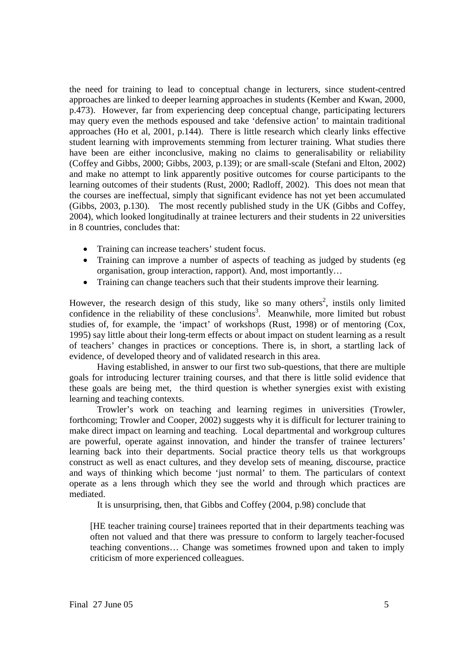the need for training to lead to conceptual change in lecturers, since student-centred approaches are linked to deeper learning approaches in students (Kember and Kwan, 2000, p.473). However, far from experiencing deep conceptual change, participating lecturers may query even the methods espoused and take 'defensive action' to maintain traditional approaches (Ho et al, 2001, p.144). There is little research which clearly links effective student learning with improvements stemming from lecturer training. What studies there have been are either inconclusive, making no claims to generalisability or reliability (Coffey and Gibbs, 2000; Gibbs, 2003, p.139); or are small-scale (Stefani and Elton, 2002) and make no attempt to link apparently positive outcomes for course participants to the learning outcomes of their students (Rust, 2000; Radloff, 2002). This does not mean that the courses are ineffectual, simply that significant evidence has not yet been accumulated (Gibbs, 2003, p.130). The most recently published study in the UK (Gibbs and Coffey, 2004), which looked longitudinally at trainee lecturers and their students in 22 universities in 8 countries, concludes that:

- Training can increase teachers' student focus.
- Training can improve a number of aspects of teaching as judged by students (eg organisation, group interaction, rapport). And, most importantly…
- Training can change teachers such that their students improve their learning.

However, the research design of this study, like so many others<sup>2</sup>, instils only limited confidence in the reliability of these conclusions<sup>3</sup>. Meanwhile, more limited but robust studies of, for example, the 'impact' of workshops (Rust, 1998) or of mentoring (Cox, 1995) say little about their long-term effects or about impact on student learning as a result of teachers' changes in practices or conceptions. There is, in short, a startling lack of evidence, of developed theory and of validated research in this area.

 Having established, in answer to our first two sub-questions, that there are multiple goals for introducing lecturer training courses, and that there is little solid evidence that these goals are being met, the third question is whether synergies exist with existing learning and teaching contexts.

 Trowler's work on teaching and learning regimes in universities (Trowler, forthcoming; Trowler and Cooper, 2002) suggests why it is difficult for lecturer training to make direct impact on learning and teaching. Local departmental and workgroup cultures are powerful, operate against innovation, and hinder the transfer of trainee lecturers' learning back into their departments. Social practice theory tells us that workgroups construct as well as enact cultures, and they develop sets of meaning, discourse, practice and ways of thinking which become 'just normal' to them. The particulars of context operate as a lens through which they see the world and through which practices are mediated.

It is unsurprising, then, that Gibbs and Coffey (2004, p.98) conclude that

[HE teacher training course] trainees reported that in their departments teaching was often not valued and that there was pressure to conform to largely teacher-focused teaching conventions… Change was sometimes frowned upon and taken to imply criticism of more experienced colleagues.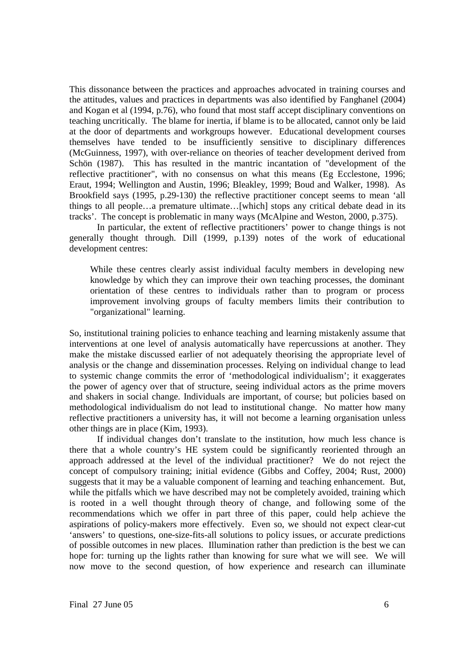This dissonance between the practices and approaches advocated in training courses and the attitudes, values and practices in departments was also identified by Fanghanel (2004) and Kogan et al (1994, p.76), who found that most staff accept disciplinary conventions on teaching uncritically. The blame for inertia, if blame is to be allocated, cannot only be laid at the door of departments and workgroups however. Educational development courses themselves have tended to be insufficiently sensitive to disciplinary differences (McGuinness, 1997), with over-reliance on theories of teacher development derived from Schön (1987). This has resulted in the mantric incantation of "development of the reflective practitioner", with no consensus on what this means (Eg Ecclestone, 1996; Eraut, 1994; Wellington and Austin, 1996; Bleakley, 1999; Boud and Walker, 1998). As Brookfield says (1995, p.29-130) the reflective practitioner concept seems to mean 'all things to all people…a premature ultimate…[which] stops any critical debate dead in its tracks'. The concept is problematic in many ways (McAlpine and Weston, 2000, p.375).

 In particular, the extent of reflective practitioners' power to change things is not generally thought through. Dill (1999, p.139) notes of the work of educational development centres:

While these centres clearly assist individual faculty members in developing new knowledge by which they can improve their own teaching processes, the dominant orientation of these centres to individuals rather than to program or process improvement involving groups of faculty members limits their contribution to "organizational" learning.

So, institutional training policies to enhance teaching and learning mistakenly assume that interventions at one level of analysis automatically have repercussions at another. They make the mistake discussed earlier of not adequately theorising the appropriate level of analysis or the change and dissemination processes. Relying on individual change to lead to systemic change commits the error of 'methodological individualism'; it exaggerates the power of agency over that of structure, seeing individual actors as the prime movers and shakers in social change. Individuals are important, of course; but policies based on methodological individualism do not lead to institutional change. No matter how many reflective practitioners a university has, it will not become a learning organisation unless other things are in place (Kim, 1993).

 If individual changes don't translate to the institution, how much less chance is there that a whole country's HE system could be significantly reoriented through an approach addressed at the level of the individual practitioner? We do not reject the concept of compulsory training; initial evidence (Gibbs and Coffey, 2004; Rust, 2000) suggests that it may be a valuable component of learning and teaching enhancement. But, while the pitfalls which we have described may not be completely avoided, training which is rooted in a well thought through theory of change, and following some of the recommendations which we offer in part three of this paper, could help achieve the aspirations of policy-makers more effectively. Even so, we should not expect clear-cut 'answers' to questions, one-size-fits-all solutions to policy issues, or accurate predictions of possible outcomes in new places. Illumination rather than prediction is the best we can hope for: turning up the lights rather than knowing for sure what we will see. We will now move to the second question, of how experience and research can illuminate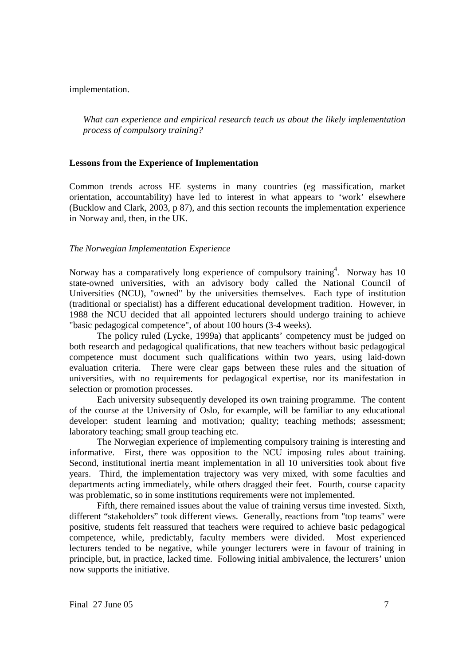implementation.

*What can experience and empirical research teach us about the likely implementation process of compulsory training?* 

#### **Lessons from the Experience of Implementation**

Common trends across HE systems in many countries (eg massification, market orientation, accountability) have led to interest in what appears to 'work' elsewhere (Bucklow and Clark, 2003, p 87), and this section recounts the implementation experience in Norway and, then, in the UK.

## *The Norwegian Implementation Experience*

Norway has a comparatively long experience of compulsory training<sup>4</sup>. Norway has 10 state-owned universities, with an advisory body called the National Council of Universities (NCU), "owned" by the universities themselves. Each type of institution (traditional or specialist) has a different educational development tradition. However, in 1988 the NCU decided that all appointed lecturers should undergo training to achieve "basic pedagogical competence", of about 100 hours (3-4 weeks).

 The policy ruled (Lycke, 1999a) that applicants' competency must be judged on both research and pedagogical qualifications, that new teachers without basic pedagogical competence must document such qualifications within two years, using laid-down evaluation criteria. There were clear gaps between these rules and the situation of universities, with no requirements for pedagogical expertise, nor its manifestation in selection or promotion processes.

 Each university subsequently developed its own training programme. The content of the course at the University of Oslo, for example, will be familiar to any educational developer: student learning and motivation; quality; teaching methods; assessment; laboratory teaching; small group teaching etc.

 The Norwegian experience of implementing compulsory training is interesting and informative. First, there was opposition to the NCU imposing rules about training. Second, institutional inertia meant implementation in all 10 universities took about five years. Third, the implementation trajectory was very mixed, with some faculties and departments acting immediately, while others dragged their feet. Fourth, course capacity was problematic, so in some institutions requirements were not implemented.

 Fifth, there remained issues about the value of training versus time invested. Sixth, different "stakeholders" took different views. Generally, reactions from "top teams" were positive, students felt reassured that teachers were required to achieve basic pedagogical competence, while, predictably, faculty members were divided. Most experienced lecturers tended to be negative, while younger lecturers were in favour of training in principle, but, in practice, lacked time. Following initial ambivalence, the lecturers' union now supports the initiative.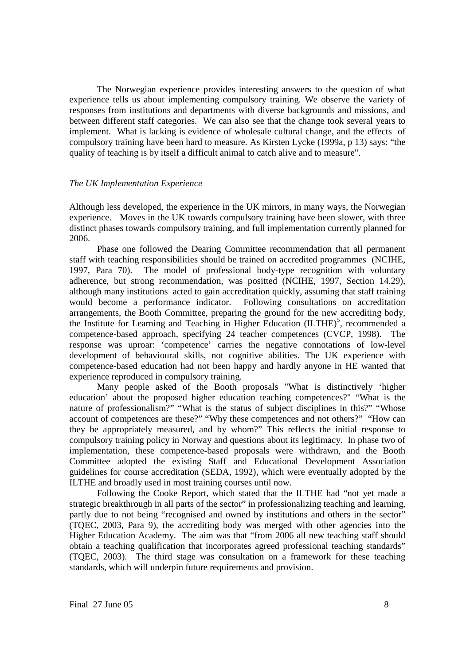The Norwegian experience provides interesting answers to the question of what experience tells us about implementing compulsory training. We observe the variety of responses from institutions and departments with diverse backgrounds and missions, and between different staff categories. We can also see that the change took several years to implement. What is lacking is evidence of wholesale cultural change, and the effects of compulsory training have been hard to measure. As Kirsten Lycke (1999a, p 13) says: "the quality of teaching is by itself a difficult animal to catch alive and to measure".

#### *The UK Implementation Experience*

Although less developed, the experience in the UK mirrors, in many ways, the Norwegian experience. Moves in the UK towards compulsory training have been slower, with three distinct phases towards compulsory training, and full implementation currently planned for 2006.

 Phase one followed the Dearing Committee recommendation that all permanent staff with teaching responsibilities should be trained on accredited programmes (NCIHE, 1997, Para 70). The model of professional body-type recognition with voluntary adherence, but strong recommendation, was positted (NCIHE, 1997, Section 14.29), although many institutions acted to gain accreditation quickly, assuming that staff training would become a performance indicator. Following consultations on accreditation arrangements, the Booth Committee, preparing the ground for the new accrediting body, the Institute for Learning and Teaching in Higher Education  $(LTHE)$ <sup>5</sup>, recommended a competence-based approach, specifying 24 teacher competences (CVCP, 1998). The response was uproar: 'competence' carries the negative connotations of low-level development of behavioural skills, not cognitive abilities. The UK experience with competence-based education had not been happy and hardly anyone in HE wanted that experience reproduced in compulsory training.

 Many people asked of the Booth proposals "What is distinctively 'higher education' about the proposed higher education teaching competences?" "What is the nature of professionalism?" "What is the status of subject disciplines in this?" "Whose account of competences are these?" "Why these competences and not others?" "How can they be appropriately measured, and by whom?" This reflects the initial response to compulsory training policy in Norway and questions about its legitimacy. In phase two of implementation, these competence-based proposals were withdrawn, and the Booth Committee adopted the existing Staff and Educational Development Association guidelines for course accreditation (SEDA, 1992), which were eventually adopted by the ILTHE and broadly used in most training courses until now.

 Following the Cooke Report, which stated that the ILTHE had "not yet made a strategic breakthrough in all parts of the sector" in professionalizing teaching and learning, partly due to not being "recognised and owned by institutions and others in the sector" (TQEC, 2003, Para 9), the accrediting body was merged with other agencies into the Higher Education Academy. The aim was that "from 2006 all new teaching staff should obtain a teaching qualification that incorporates agreed professional teaching standards" (TQEC, 2003). The third stage was consultation on a framework for these teaching standards, which will underpin future requirements and provision.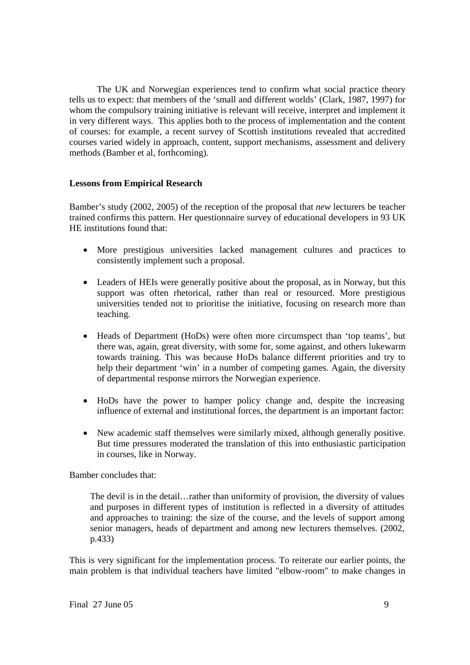The UK and Norwegian experiences tend to confirm what social practice theory tells us to expect: that members of the 'small and different worlds' (Clark, 1987, 1997) for whom the compulsory training initiative is relevant will receive, interpret and implement it in very different ways. This applies both to the process of implementation and the content of courses: for example, a recent survey of Scottish institutions revealed that accredited courses varied widely in approach, content, support mechanisms, assessment and delivery methods (Bamber et al, forthcoming).

## **Lessons from Empirical Research**

Bamber's study (2002, 2005) of the reception of the proposal that *new* lecturers be teacher trained confirms this pattern. Her questionnaire survey of educational developers in 93 UK HE institutions found that:

- More prestigious universities lacked management cultures and practices to consistently implement such a proposal.
- Leaders of HEIs were generally positive about the proposal, as in Norway, but this support was often rhetorical, rather than real or resourced. More prestigious universities tended not to prioritise the initiative, focusing on research more than teaching.
- Heads of Department (HoDs) were often more circumspect than 'top teams', but there was, again, great diversity, with some for, some against, and others lukewarm towards training. This was because HoDs balance different priorities and try to help their department 'win' in a number of competing games. Again, the diversity of departmental response mirrors the Norwegian experience.
- HoDs have the power to hamper policy change and, despite the increasing influence of external and institutional forces, the department is an important factor:
- New academic staff themselves were similarly mixed, although generally positive. But time pressures moderated the translation of this into enthusiastic participation in courses, like in Norway.

Bamber concludes that:

The devil is in the detail…rather than uniformity of provision, the diversity of values and purposes in different types of institution is reflected in a diversity of attitudes and approaches to training: the size of the course, and the levels of support among senior managers, heads of department and among new lecturers themselves. (2002, p.433)

This is very significant for the implementation process. To reiterate our earlier points, the main problem is that individual teachers have limited "elbow-room" to make changes in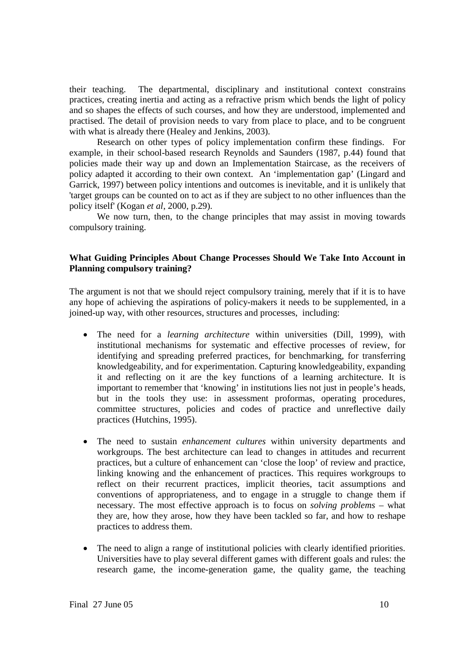their teaching. The departmental, disciplinary and institutional context constrains practices, creating inertia and acting as a refractive prism which bends the light of policy and so shapes the effects of such courses, and how they are understood, implemented and practised. The detail of provision needs to vary from place to place, and to be congruent with what is already there (Healey and Jenkins, 2003).

 Research on other types of policy implementation confirm these findings. For example, in their school-based research Reynolds and Saunders (1987, p.44) found that policies made their way up and down an Implementation Staircase, as the receivers of policy adapted it according to their own context. An 'implementation gap' (Lingard and Garrick, 1997) between policy intentions and outcomes is inevitable, and it is unlikely that 'target groups can be counted on to act as if they are subject to no other influences than the policy itself' (Kogan *et al*, 2000, p.29).

 We now turn, then, to the change principles that may assist in moving towards compulsory training.

# **What Guiding Principles About Change Processes Should We Take Into Account in Planning compulsory training?**

The argument is not that we should reject compulsory training, merely that if it is to have any hope of achieving the aspirations of policy-makers it needs to be supplemented, in a joined-up way, with other resources, structures and processes, including:

- The need for a *learning architecture* within universities (Dill, 1999), with institutional mechanisms for systematic and effective processes of review, for identifying and spreading preferred practices, for benchmarking, for transferring knowledgeability, and for experimentation. Capturing knowledgeability, expanding it and reflecting on it are the key functions of a learning architecture. It is important to remember that 'knowing' in institutions lies not just in people's heads, but in the tools they use: in assessment proformas, operating procedures, committee structures, policies and codes of practice and unreflective daily practices (Hutchins, 1995).
- The need to sustain *enhancement cultures* within university departments and workgroups. The best architecture can lead to changes in attitudes and recurrent practices, but a culture of enhancement can 'close the loop' of review and practice, linking knowing and the enhancement of practices. This requires workgroups to reflect on their recurrent practices, implicit theories, tacit assumptions and conventions of appropriateness, and to engage in a struggle to change them if necessary. The most effective approach is to focus on *solving problems* – what they are, how they arose, how they have been tackled so far, and how to reshape practices to address them.
- The need to align a range of institutional policies with clearly identified priorities. Universities have to play several different games with different goals and rules: the research game, the income-generation game, the quality game, the teaching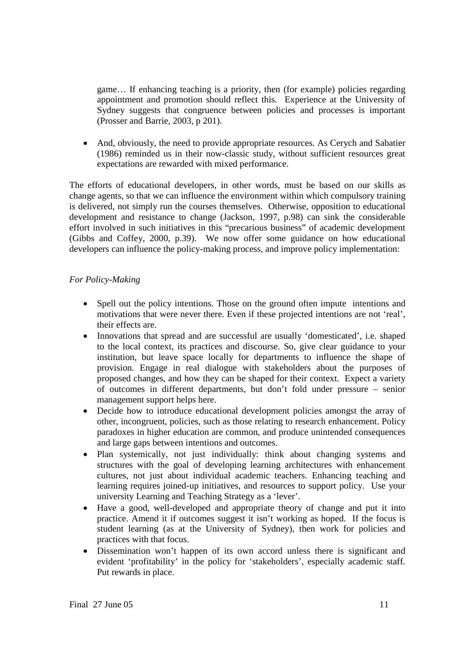game… If enhancing teaching is a priority, then (for example) policies regarding appointment and promotion should reflect this. Experience at the University of Sydney suggests that congruence between policies and processes is important (Prosser and Barrie, 2003, p 201).

• And, obviously, the need to provide appropriate resources. As Cerych and Sabatier (1986) reminded us in their now-classic study, without sufficient resources great expectations are rewarded with mixed performance.

The efforts of educational developers, in other words, must be based on our skills as change agents, so that we can influence the environment within which compulsory training is delivered, not simply run the courses themselves. Otherwise, opposition to educational development and resistance to change (Jackson, 1997, p.98) can sink the considerable effort involved in such initiatives in this "precarious business" of academic development (Gibbs and Coffey, 2000, p.39). We now offer some guidance on how educational developers can influence the policy-making process, and improve policy implementation:

# *For Policy-Making*

- Spell out the policy intentions. Those on the ground often impute intentions and motivations that were never there. Even if these projected intentions are not 'real', their effects are.
- Innovations that spread and are successful are usually 'domesticated', i.e. shaped to the local context, its practices and discourse. So, give clear guidance to your institution, but leave space locally for departments to influence the shape of provision. Engage in real dialogue with stakeholders about the purposes of proposed changes, and how they can be shaped for their context. Expect a variety of outcomes in different departments, but don't fold under pressure – senior management support helps here.
- Decide how to introduce educational development policies amongst the array of other, incongruent, policies, such as those relating to research enhancement. Policy paradoxes in higher education are common, and produce unintended consequences and large gaps between intentions and outcomes.
- Plan systemically, not just individually: think about changing systems and structures with the goal of developing learning architectures with enhancement cultures, not just about individual academic teachers. Enhancing teaching and learning requires joined-up initiatives, and resources to support policy. Use your university Learning and Teaching Strategy as a 'lever'.
- Have a good, well-developed and appropriate theory of change and put it into practice. Amend it if outcomes suggest it isn't working as hoped. If the focus is student learning (as at the University of Sydney), then work for policies and practices with that focus.
- Dissemination won't happen of its own accord unless there is significant and evident 'profitability' in the policy for 'stakeholders', especially academic staff. Put rewards in place.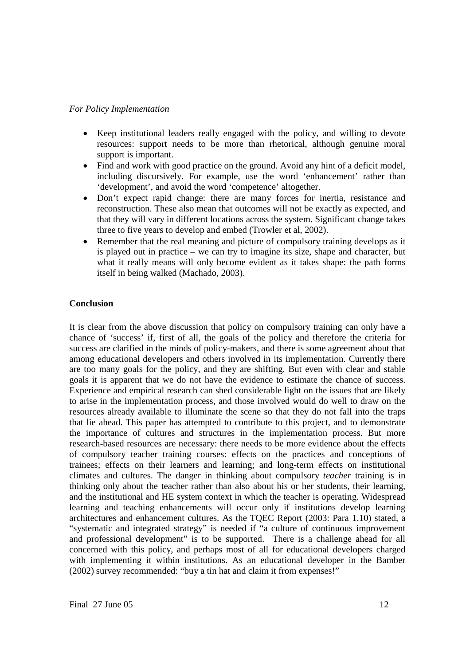## *For Policy Implementation*

- Keep institutional leaders really engaged with the policy, and willing to devote resources: support needs to be more than rhetorical, although genuine moral support is important.
- Find and work with good practice on the ground. Avoid any hint of a deficit model, including discursively. For example, use the word 'enhancement' rather than 'development', and avoid the word 'competence' altogether.
- Don't expect rapid change: there are many forces for inertia, resistance and reconstruction. These also mean that outcomes will not be exactly as expected, and that they will vary in different locations across the system. Significant change takes three to five years to develop and embed (Trowler et al, 2002).
- Remember that the real meaning and picture of compulsory training develops as it is played out in practice – we can try to imagine its size, shape and character, but what it really means will only become evident as it takes shape: the path forms itself in being walked (Machado, 2003).

# **Conclusion**

It is clear from the above discussion that policy on compulsory training can only have a chance of 'success' if, first of all, the goals of the policy and therefore the criteria for success are clarified in the minds of policy-makers, and there is some agreement about that among educational developers and others involved in its implementation. Currently there are too many goals for the policy, and they are shifting. But even with clear and stable goals it is apparent that we do not have the evidence to estimate the chance of success. Experience and empirical research can shed considerable light on the issues that are likely to arise in the implementation process, and those involved would do well to draw on the resources already available to illuminate the scene so that they do not fall into the traps that lie ahead. This paper has attempted to contribute to this project, and to demonstrate the importance of cultures and structures in the implementation process. But more research-based resources are necessary: there needs to be more evidence about the effects of compulsory teacher training courses: effects on the practices and conceptions of trainees; effects on their learners and learning; and long-term effects on institutional climates and cultures. The danger in thinking about compulsory *teacher* training is in thinking only about the teacher rather than also about his or her students, their learning, and the institutional and HE system context in which the teacher is operating. Widespread learning and teaching enhancements will occur only if institutions develop learning architectures and enhancement cultures. As the TQEC Report (2003: Para 1.10) stated, a "systematic and integrated strategy" is needed if "a culture of continuous improvement and professional development" is to be supported. There is a challenge ahead for all concerned with this policy, and perhaps most of all for educational developers charged with implementing it within institutions. As an educational developer in the Bamber (2002) survey recommended: "buy a tin hat and claim it from expenses!"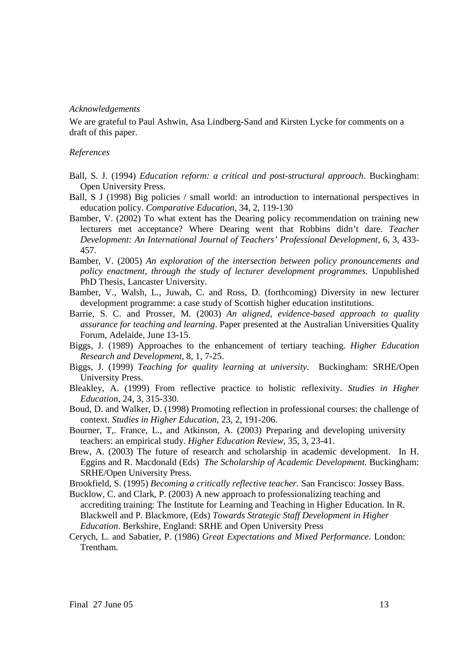#### *Acknowledgements*

We are grateful to Paul Ashwin, Asa Lindberg-Sand and Kirsten Lycke for comments on a draft of this paper.

#### *References*

- Ball, S. J. (1994) *Education reform: a critical and post-structural approach*. Buckingham: Open University Press.
- Ball, S J (1998) Big policies / small world: an introduction to international perspectives in education policy. *Comparative Education*, 34, 2, 119-130
- Bamber, V. (2002) To what extent has the Dearing policy recommendation on training new lecturers met acceptance? Where Dearing went that Robbins didn't dare. *Teacher Development: An International Journal of Teachers' Professional Development*, 6, 3, 433- 457.
- Bamber, V. (2005) *An exploration of the intersection between policy pronouncements and policy enactment, through the study of lecturer development programmes*. Unpublished PhD Thesis, Lancaster University.
- Bamber, V., Walsh, L., Juwah, C. and Ross, D. (forthcoming) Diversity in new lecturer development programme: a case study of Scottish higher education institutions.
- Barrie, S. C. and Prosser, M. (2003) *An aligned, evidence-based approach to quality assurance for teaching and learning*. Paper presented at the Australian Universities Quality Forum, Adelaide, June 13-15.
- Biggs, J. (1989) Approaches to the enhancement of tertiary teaching. *Higher Education Research and Development*, 8, 1, 7-25.
- Biggs, J. (1999) *Teaching for quality learning at university*. Buckingham: SRHE/Open University Press.
- Bleakley, A. (1999) From reflective practice to holistic reflexivity. *Studies in Higher Education*, 24, 3, 315-330.
- Boud, D. and Walker, D. (1998) Promoting reflection in professional courses: the challenge of context. *Studies in Higher Education*, 23, 2, 191-206.
- Bourner, T,. France, L., and Atkinson, A. (2003) Preparing and developing university teachers: an empirical study. *Higher Education Review*, 35, 3, 23-41.
- Brew, A. (2003) The future of research and scholarship in academic development. In H. Eggins and R. Macdonald (Eds) *The Scholarship of Academic Development.* Buckingham: SRHE/Open University Press.
- Brookfield, S. (1995) *Becoming a critically reflective teacher*. San Francisco: Jossey Bass.
- Bucklow, C. and Clark, P. (2003) A new approach to professionalizing teaching and accrediting training: The Institute for Learning and Teaching in Higher Education. In R. Blackwell and P. Blackmore, (Eds) *Towards Strategic Staff Development in Higher Education*. Berkshire, England: SRHE and Open University Press
- Cerych, L. and Sabatier, P. (1986) *Great Expectations and Mixed Performance*. London: Trentham.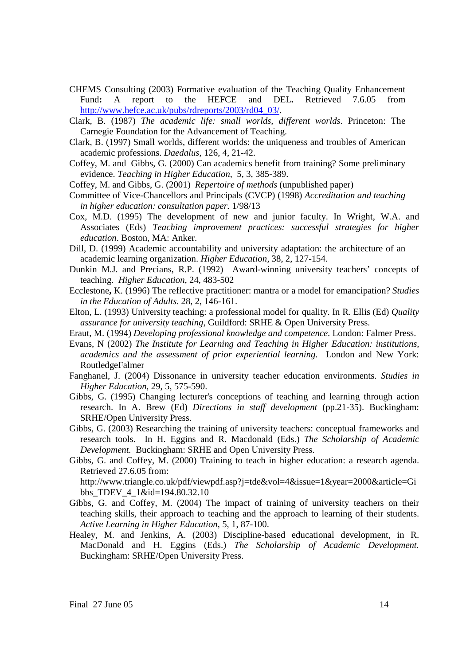- CHEMS Consulting (2003) Formative evaluation of the Teaching Quality Enhancement Fund**:** A report to the HEFCE and DEL**.** Retrieved 7.6.05 from http://www.hefce.ac.uk/pubs/rdreports/2003/rd04\_03/.
- Clark, B. (1987) *The academic life: small worlds, different worlds*. Princeton: The Carnegie Foundation for the Advancement of Teaching.
- Clark, B. (1997) Small worlds, different worlds: the uniqueness and troubles of American academic professions. *Daedalus*, 126, 4, 21-42.
- Coffey, M. and Gibbs, G. (2000) Can academics benefit from training? Some preliminary evidence. *Teaching in Higher Education*, 5, 3, 385-389.
- Coffey, M. and Gibbs, G. (2001) *Repertoire of methods* (unpublished paper)
- Committee of Vice-Chancellors and Principals (CVCP) (1998) *Accreditation and teaching in higher education: consultation paper.* 1/98/13
- Cox, M.D. (1995) The development of new and junior faculty. In Wright, W.A. and Associates (Eds) *Teaching improvement practices: successful strategies for higher education*. Boston, MA: Anker.
- Dill, D. (1999) Academic accountability and university adaptation: the architecture of an academic learning organization. *Higher Education,* 38, 2, 127-154.
- Dunkin M.J. and Precians, R.P. (1992) Award-winning university teachers' concepts of teaching. *Higher Education*, 24, 483-502
- Ecclestone**,** K. (1996) The reflective practitioner: mantra or a model for emancipation? *Studies in the Education of Adults*. 28, 2, 146-161.
- Elton, L. (1993) University teaching: a professional model for quality. In R. Ellis (Ed) *Quality assurance for university teaching*, Guildford: SRHE & Open University Press.
- Eraut, M. (1994) *Developing professional knowledge and competence*. London: Falmer Press.
- Evans, N (2002) *The Institute for Learning and Teaching in Higher Education: institutions, academics and the assessment of prior experiential learning*. London and New York: RoutledgeFalmer
- Fanghanel, J. (2004) Dissonance in university teacher education environments. *Studies in Higher Education*, 29, 5, 575-590.
- Gibbs, G. (1995) Changing lecturer's conceptions of teaching and learning through action research. In A. Brew (Ed) *Directions in staff development* (pp.21-35). Buckingham: SRHE/Open University Press.
- Gibbs, G. (2003) Researching the training of university teachers: conceptual frameworks and research tools. In H. Eggins and R. Macdonald (Eds.) *The Scholarship of Academic Development.* Buckingham: SRHE and Open University Press.
- Gibbs, G. and Coffey, M. (2000) Training to teach in higher education: a research agenda. Retrieved 27.6.05 from:

http://www.triangle.co.uk/pdf/viewpdf.asp?j=tde&vol=4&issue=1&year=2000&article=Gi bbs TDEV 4 1&id=194.80.32.10

- Gibbs, G. and Coffey, M. (2004) The impact of training of university teachers on their teaching skills, their approach to teaching and the approach to learning of their students. *Active Learning in Higher Education*, 5, 1, 87-100.
- Healey, M. and Jenkins, A. (2003) Discipline-based educational development, in R. MacDonald and H. Eggins (Eds.) *The Scholarship of Academic Development.* Buckingham: SRHE/Open University Press.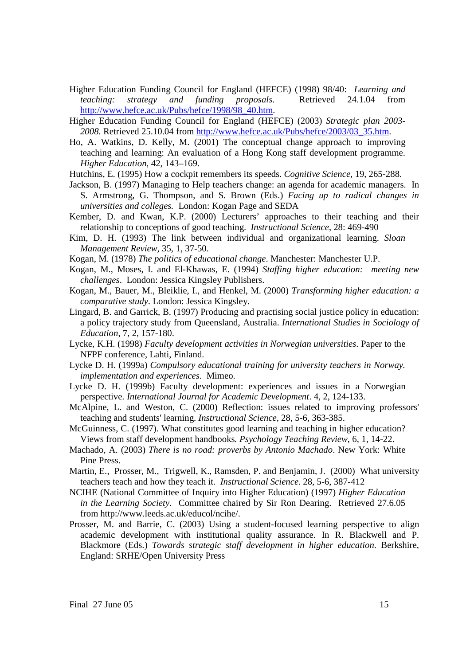- Higher Education Funding Council for England (HEFCE) (1998) 98/40: *Learning and teaching: strategy and funding proposals*. Retrieved 24.1.04 from http://www.hefce.ac.uk/Pubs/hefce/1998/98\_40.htm.
- Higher Education Funding Council for England (HEFCE) (2003) *Strategic plan 2003- 2008.* Retrieved 25.10.04 from http://www.hefce.ac.uk/Pubs/hefce/2003/03\_35.htm.
- Ho, A. Watkins, D. Kelly, M. (2001) The conceptual change approach to improving teaching and learning: An evaluation of a Hong Kong staff development programme. *Higher Education*, 42, 143–169.
- Hutchins, E. (1995) How a cockpit remembers its speeds. *Cognitive Science*, 19, 265-288.
- Jackson, B. (1997) Managing to Help teachers change: an agenda for academic managers. In S. Armstrong, G. Thompson, and S. Brown (Eds.) *Facing up to radical changes in universities and colleges.* London: Kogan Page and SEDA
- Kember, D. and Kwan, K.P. (2000) Lecturers' approaches to their teaching and their relationship to conceptions of good teaching. *Instructional Science*, 28: 469-490
- Kim, D. H. (1993) The link between individual and organizational learning. *Sloan Management Review,* 35, 1, 37-50.
- Kogan, M. (1978) *The politics of educational change*. Manchester: Manchester U.P.
- Kogan, M., Moses, I. and El-Khawas, E. (1994) *Staffing higher education: meeting new challenges*. London: Jessica Kingsley Publishers.
- Kogan, M., Bauer, M., Bleiklie, I., and Henkel, M. (2000) *Transforming higher education: a comparative study*. London: Jessica Kingsley.
- Lingard, B. and Garrick, B. (1997) Producing and practising social justice policy in education: a policy trajectory study from Queensland, Australia. *International Studies in Sociology of Education*, 7, 2, 157-180.
- Lycke, K.H. (1998) *Faculty development activities in Norwegian universities*. Paper to the NFPF conference, Lahti, Finland.
- Lycke D. H. (1999a) *Compulsory educational training for university teachers in Norway. implementation and experiences*. Mimeo.
- Lycke D. H. (1999b) Faculty development: experiences and issues in a Norwegian perspective. *International Journal for Academic Development*. 4, 2, 124-133.
- McAlpine, L. and Weston, C. (2000) Reflection: issues related to improving professors' teaching and students' learning. *Instructional Science,* 28, 5-6, 363-385.
- McGuinness, C. (1997). What constitutes good learning and teaching in higher education? Views from staff development handbooks*. Psychology Teaching Review*, 6, 1, 14-22.
- Machado, A. (2003) *There is no road: proverbs by Antonio Machado*. New York: White Pine Press.
- Martin, E., Prosser, M., Trigwell, K., Ramsden, P. and Benjamin, J. (2000) What university teachers teach and how they teach it. *Instructional Science*. 28, 5-6, 387-412
- NCIHE (National Committee of Inquiry into Higher Education) (1997) *Higher Education in the Learning Society*. Committee chaired by Sir Ron Dearing. Retrieved 27.6.05 from http://www.leeds.ac.uk/educol/ncihe/.
- Prosser, M. and Barrie, C. (2003) Using a student-focused learning perspective to align academic development with institutional quality assurance. In R. Blackwell and P. Blackmore (Eds.) *Towards strategic staff development in higher education*. Berkshire, England: SRHE/Open University Press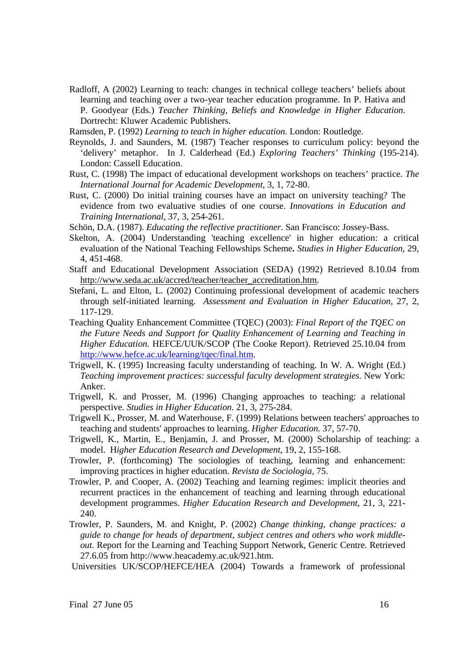- Radloff, A (2002) Learning to teach: changes in technical college teachers' beliefs about learning and teaching over a two-year teacher education programme. In P. Hativa and P. Goodyear (Eds.) *Teacher Thinking, Beliefs and Knowledge in Higher Education*. Dortrecht: Kluwer Academic Publishers.
- Ramsden, P. (1992) *Learning to teach in higher education*. London: Routledge.
- Reynolds, J. and Saunders, M. (1987) Teacher responses to curriculum policy: beyond the 'delivery' metaphor. In J. Calderhead (Ed.) *Exploring Teachers' Thinking* (195-214). London: Cassell Education.
- Rust, C. (1998) The impact of educational development workshops on teachers' practice. *The International Journal for Academic Development*, 3, 1, 72-80.
- Rust, C. (2000) Do initial training courses have an impact on university teaching? The evidence from two evaluative studies of one course. *Innovations in Education and Training International*, 37, 3, 254-261.
- Schön, D.A. (1987). *Educating the reflective practitioner*. San Francisco: Jossey-Bass.
- Skelton, A. (2004) Understanding 'teaching excellence' in higher education: a critical evaluation of the National Teaching Fellowships Scheme**.** *Studies in Higher Education*, 29, 4, 451-468.
- Staff and Educational Development Association (SEDA) (1992) Retrieved 8.10.04 from http://www.seda.ac.uk/accred/teacher/teacher\_accreditation.htm.
- Stefani, L. and Elton, L. (2002) Continuing professional development of academic teachers through self-initiated learning. *Assessment and Evaluation in Higher Education,* 27, 2, 117-129.
- Teaching Quality Enhancement Committee (TQEC) (2003): *Final Report of the TQEC on the Future Needs and Support for Quality Enhancement of Learning and Teaching in Higher Education*. HEFCE/UUK/SCOP (The Cooke Report). Retrieved 25.10.04 from http://www.hefce.ac.uk/learning/tqec/final.htm.
- Trigwell, K. (1995) Increasing faculty understanding of teaching. In W. A. Wright (Ed.) *Teaching improvement practices: successful faculty development strategies*. New York: Anker.
- Trigwell, K. and Prosser, M. (1996) Changing approaches to teaching: a relational perspective. *Studies in Higher Education*. 21, 3, 275-284.
- Trigwell K., Prosser, M. and Waterhouse, F. (1999) Relations between teachers' approaches to teaching and students' approaches to learning. *Higher Education.* 37, 57-70.
- Trigwell, K., Martin, E., Benjamin, J. and Prosser, M. (2000) Scholarship of teaching: a model. H*igher Education Research and Development*, 19, 2, 155-168.
- Trowler, P. (forthcoming) The sociologies of teaching, learning and enhancement: improving practices in higher education. *Revista de Sociologia*, 75.
- Trowler, P. and Cooper, A. (2002) Teaching and learning regimes: implicit theories and recurrent practices in the enhancement of teaching and learning through educational development programmes. *Higher Education Research and Development*, 21, 3, 221- 240.
- Trowler, P. Saunders, M. and Knight, P. (2002) *Change thinking, change practices: a guide to change for heads of department, subject centres and others who work middleout.* Report for the Learning and Teaching Support Network, Generic Centre. Retrieved 27.6.05 from http://www.heacademy.ac.uk/921.htm.

Universities UK/SCOP/HEFCE/HEA (2004) Towards a framework of professional